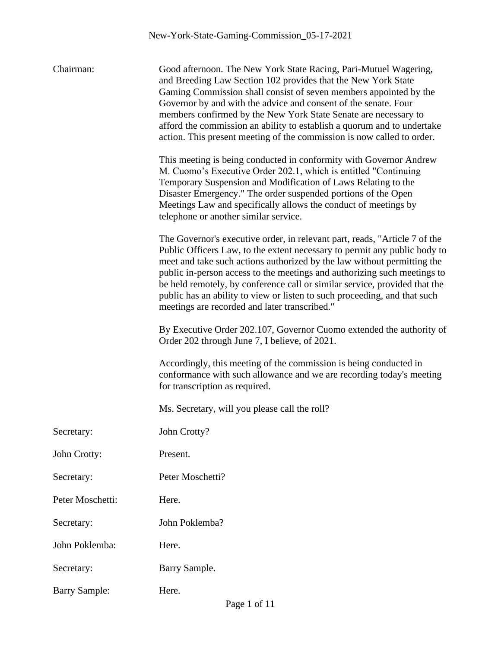| Chairman:            | Good afternoon. The New York State Racing, Pari-Mutuel Wagering,<br>and Breeding Law Section 102 provides that the New York State<br>Gaming Commission shall consist of seven members appointed by the<br>Governor by and with the advice and consent of the senate. Four<br>members confirmed by the New York State Senate are necessary to<br>afford the commission an ability to establish a quorum and to undertake<br>action. This present meeting of the commission is now called to order.                          |
|----------------------|----------------------------------------------------------------------------------------------------------------------------------------------------------------------------------------------------------------------------------------------------------------------------------------------------------------------------------------------------------------------------------------------------------------------------------------------------------------------------------------------------------------------------|
|                      | This meeting is being conducted in conformity with Governor Andrew<br>M. Cuomo's Executive Order 202.1, which is entitled "Continuing<br>Temporary Suspension and Modification of Laws Relating to the<br>Disaster Emergency." The order suspended portions of the Open<br>Meetings Law and specifically allows the conduct of meetings by<br>telephone or another similar service.                                                                                                                                        |
|                      | The Governor's executive order, in relevant part, reads, "Article 7 of the<br>Public Officers Law, to the extent necessary to permit any public body to<br>meet and take such actions authorized by the law without permitting the<br>public in-person access to the meetings and authorizing such meetings to<br>be held remotely, by conference call or similar service, provided that the<br>public has an ability to view or listen to such proceeding, and that such<br>meetings are recorded and later transcribed." |
|                      | By Executive Order 202.107, Governor Cuomo extended the authority of<br>Order 202 through June 7, I believe, of 2021.                                                                                                                                                                                                                                                                                                                                                                                                      |
|                      | Accordingly, this meeting of the commission is being conducted in<br>conformance with such allowance and we are recording today's meeting<br>for transcription as required.                                                                                                                                                                                                                                                                                                                                                |
|                      | Ms. Secretary, will you please call the roll?                                                                                                                                                                                                                                                                                                                                                                                                                                                                              |
| Secretary:           | John Crotty?                                                                                                                                                                                                                                                                                                                                                                                                                                                                                                               |
| John Crotty:         | Present.                                                                                                                                                                                                                                                                                                                                                                                                                                                                                                                   |
| Secretary:           | Peter Moschetti?                                                                                                                                                                                                                                                                                                                                                                                                                                                                                                           |
| Peter Moschetti:     | Here.                                                                                                                                                                                                                                                                                                                                                                                                                                                                                                                      |
| Secretary:           | John Poklemba?                                                                                                                                                                                                                                                                                                                                                                                                                                                                                                             |
| John Poklemba:       | Here.                                                                                                                                                                                                                                                                                                                                                                                                                                                                                                                      |
| Secretary:           | Barry Sample.                                                                                                                                                                                                                                                                                                                                                                                                                                                                                                              |
| <b>Barry Sample:</b> | Here.                                                                                                                                                                                                                                                                                                                                                                                                                                                                                                                      |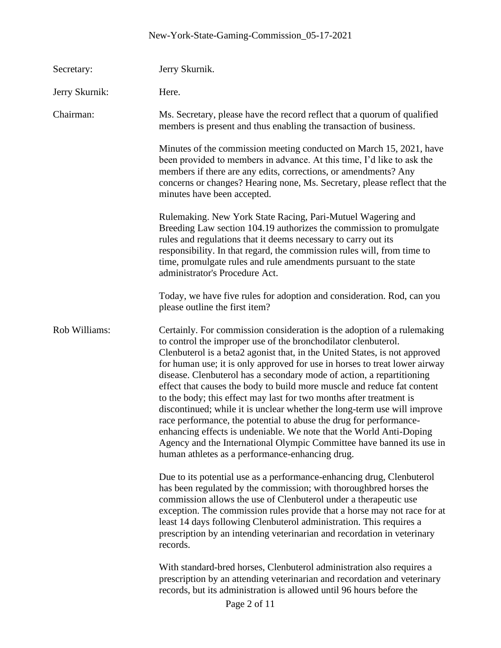## New-York-State-Gaming-Commission\_05-17-2021

| Secretary:     | Jerry Skurnik.                                                                                                                                                                                                                                                                                                                                                                                                                                                                                                                                                                                                                                                                                                                                                                                                                                                                        |
|----------------|---------------------------------------------------------------------------------------------------------------------------------------------------------------------------------------------------------------------------------------------------------------------------------------------------------------------------------------------------------------------------------------------------------------------------------------------------------------------------------------------------------------------------------------------------------------------------------------------------------------------------------------------------------------------------------------------------------------------------------------------------------------------------------------------------------------------------------------------------------------------------------------|
| Jerry Skurnik: | Here.                                                                                                                                                                                                                                                                                                                                                                                                                                                                                                                                                                                                                                                                                                                                                                                                                                                                                 |
| Chairman:      | Ms. Secretary, please have the record reflect that a quorum of qualified<br>members is present and thus enabling the transaction of business.                                                                                                                                                                                                                                                                                                                                                                                                                                                                                                                                                                                                                                                                                                                                         |
|                | Minutes of the commission meeting conducted on March 15, 2021, have<br>been provided to members in advance. At this time, I'd like to ask the<br>members if there are any edits, corrections, or amendments? Any<br>concerns or changes? Hearing none, Ms. Secretary, please reflect that the<br>minutes have been accepted.                                                                                                                                                                                                                                                                                                                                                                                                                                                                                                                                                          |
|                | Rulemaking. New York State Racing, Pari-Mutuel Wagering and<br>Breeding Law section 104.19 authorizes the commission to promulgate<br>rules and regulations that it deems necessary to carry out its<br>responsibility. In that regard, the commission rules will, from time to<br>time, promulgate rules and rule amendments pursuant to the state<br>administrator's Procedure Act.                                                                                                                                                                                                                                                                                                                                                                                                                                                                                                 |
|                | Today, we have five rules for adoption and consideration. Rod, can you<br>please outline the first item?                                                                                                                                                                                                                                                                                                                                                                                                                                                                                                                                                                                                                                                                                                                                                                              |
| Rob Williams:  | Certainly. For commission consideration is the adoption of a rulemaking<br>to control the improper use of the bronchodilator clenbuterol.<br>Clenbuterol is a beta2 agonist that, in the United States, is not approved<br>for human use; it is only approved for use in horses to treat lower airway<br>disease. Clenbuterol has a secondary mode of action, a repartitioning<br>effect that causes the body to build more muscle and reduce fat content<br>to the body; this effect may last for two months after treatment is<br>discontinued; while it is unclear whether the long-term use will improve<br>race performance, the potential to abuse the drug for performance-<br>enhancing effects is undeniable. We note that the World Anti-Doping<br>Agency and the International Olympic Committee have banned its use in<br>human athletes as a performance-enhancing drug. |
|                | Due to its potential use as a performance-enhancing drug, Clenbuterol<br>has been regulated by the commission; with thoroughbred horses the<br>commission allows the use of Clenbuterol under a therapeutic use<br>exception. The commission rules provide that a horse may not race for at<br>least 14 days following Clenbuterol administration. This requires a<br>prescription by an intending veterinarian and recordation in veterinary<br>records.                                                                                                                                                                                                                                                                                                                                                                                                                             |
|                | With standard-bred horses, Clenbuterol administration also requires a<br>prescription by an attending veterinarian and recordation and veterinary<br>records, but its administration is allowed until 96 hours before the<br>Page 2 of 11                                                                                                                                                                                                                                                                                                                                                                                                                                                                                                                                                                                                                                             |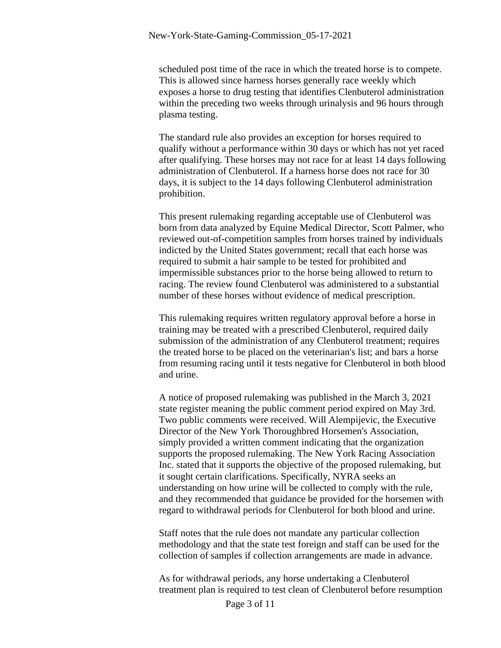scheduled post time of the race in which the treated horse is to compete. This is allowed since harness horses generally race weekly which exposes a horse to drug testing that identifies Clenbuterol administration within the preceding two weeks through urinalysis and 96 hours through plasma testing.

The standard rule also provides an exception for horses required to qualify without a performance within 30 days or which has not yet raced after qualifying. These horses may not race for at least 14 days following administration of Clenbuterol. If a harness horse does not race for 30 days, it is subject to the 14 days following Clenbuterol administration prohibition.

This present rulemaking regarding acceptable use of Clenbuterol was born from data analyzed by Equine Medical Director, Scott Palmer, who reviewed out-of-competition samples from horses trained by individuals indicted by the United States government; recall that each horse was required to submit a hair sample to be tested for prohibited and impermissible substances prior to the horse being allowed to return to racing. The review found Clenbuterol was administered to a substantial number of these horses without evidence of medical prescription.

This rulemaking requires written regulatory approval before a horse in training may be treated with a prescribed Clenbuterol, required daily submission of the administration of any Clenbuterol treatment; requires the treated horse to be placed on the veterinarian's list; and bars a horse from resuming racing until it tests negative for Clenbuterol in both blood and urine.

A notice of proposed rulemaking was published in the March 3, 2021 state register meaning the public comment period expired on May 3rd. Two public comments were received. Will Alempijevic, the Executive Director of the New York Thoroughbred Horsemen's Association, simply provided a written comment indicating that the organization supports the proposed rulemaking. The New York Racing Association Inc. stated that it supports the objective of the proposed rulemaking, but it sought certain clarifications. Specifically, NYRA seeks an understanding on how urine will be collected to comply with the rule, and they recommended that guidance be provided for the horsemen with regard to withdrawal periods for Clenbuterol for both blood and urine.

Staff notes that the rule does not mandate any particular collection methodology and that the state test foreign and staff can be used for the collection of samples if collection arrangements are made in advance.

As for withdrawal periods, any horse undertaking a Clenbuterol treatment plan is required to test clean of Clenbuterol before resumption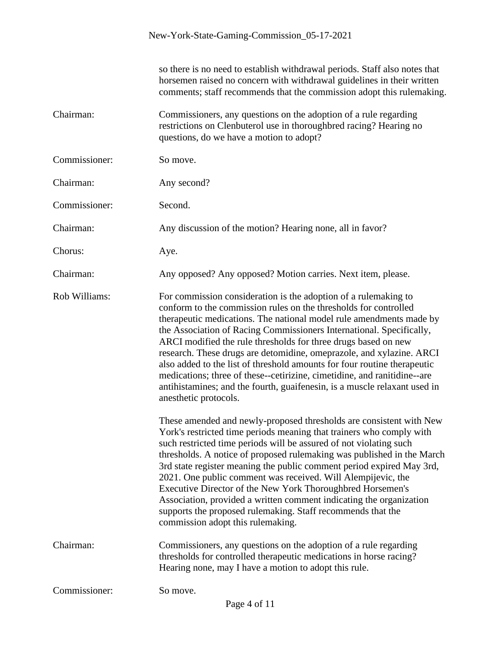|               | so there is no need to establish withdrawal periods. Staff also notes that<br>horsemen raised no concern with withdrawal guidelines in their written<br>comments; staff recommends that the commission adopt this rulemaking.                                                                                                                                                                                                                                                                                                                                                                                                                                                              |
|---------------|--------------------------------------------------------------------------------------------------------------------------------------------------------------------------------------------------------------------------------------------------------------------------------------------------------------------------------------------------------------------------------------------------------------------------------------------------------------------------------------------------------------------------------------------------------------------------------------------------------------------------------------------------------------------------------------------|
| Chairman:     | Commissioners, any questions on the adoption of a rule regarding<br>restrictions on Clenbuterol use in thoroughbred racing? Hearing no<br>questions, do we have a motion to adopt?                                                                                                                                                                                                                                                                                                                                                                                                                                                                                                         |
| Commissioner: | So move.                                                                                                                                                                                                                                                                                                                                                                                                                                                                                                                                                                                                                                                                                   |
| Chairman:     | Any second?                                                                                                                                                                                                                                                                                                                                                                                                                                                                                                                                                                                                                                                                                |
| Commissioner: | Second.                                                                                                                                                                                                                                                                                                                                                                                                                                                                                                                                                                                                                                                                                    |
| Chairman:     | Any discussion of the motion? Hearing none, all in favor?                                                                                                                                                                                                                                                                                                                                                                                                                                                                                                                                                                                                                                  |
| Chorus:       | Aye.                                                                                                                                                                                                                                                                                                                                                                                                                                                                                                                                                                                                                                                                                       |
| Chairman:     | Any opposed? Any opposed? Motion carries. Next item, please.                                                                                                                                                                                                                                                                                                                                                                                                                                                                                                                                                                                                                               |
| Rob Williams: | For commission consideration is the adoption of a rulemaking to<br>conform to the commission rules on the thresholds for controlled<br>therapeutic medications. The national model rule amendments made by<br>the Association of Racing Commissioners International. Specifically,<br>ARCI modified the rule thresholds for three drugs based on new<br>research. These drugs are detomidine, omeprazole, and xylazine. ARCI<br>also added to the list of threshold amounts for four routine therapeutic<br>medications; three of these--cetirizine, cimetidine, and ranitidine--are<br>antihistamines; and the fourth, guaifenesin, is a muscle relaxant used in<br>anesthetic protocols. |
|               | These amended and newly-proposed thresholds are consistent with New<br>York's restricted time periods meaning that trainers who comply with<br>such restricted time periods will be assured of not violating such<br>thresholds. A notice of proposed rulemaking was published in the March<br>3rd state register meaning the public comment period expired May 3rd,<br>2021. One public comment was received. Will Alempijevic, the<br>Executive Director of the New York Thoroughbred Horsemen's<br>Association, provided a written comment indicating the organization<br>supports the proposed rulemaking. Staff recommends that the<br>commission adopt this rulemaking.              |
| Chairman:     | Commissioners, any questions on the adoption of a rule regarding<br>thresholds for controlled therapeutic medications in horse racing?<br>Hearing none, may I have a motion to adopt this rule.                                                                                                                                                                                                                                                                                                                                                                                                                                                                                            |
| Commissioner: | So move.<br>$\mathbf{D}_{\alpha\alpha\alpha}$ 4 of 11                                                                                                                                                                                                                                                                                                                                                                                                                                                                                                                                                                                                                                      |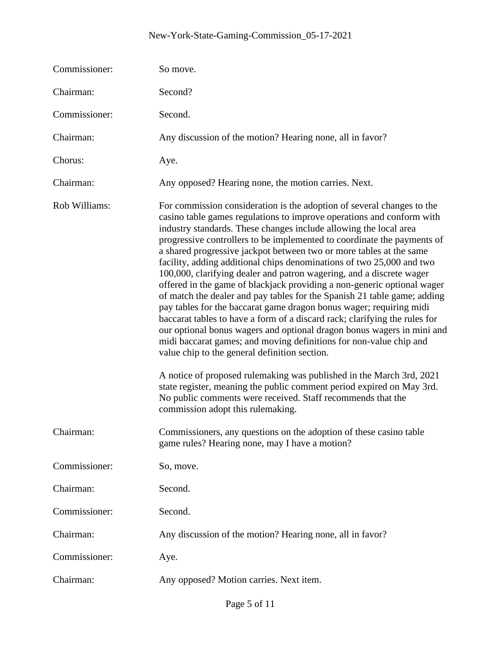## New-York-State-Gaming-Commission\_05-17-2021

| Commissioner: | So move.                                                                                                                                                                                                                                                                                                                                                                                                                                                                                                                                                                                                                                                                                                                                                                                                                                                                                                                                                                                                                                                                                                                                                                                                                                                                                  |
|---------------|-------------------------------------------------------------------------------------------------------------------------------------------------------------------------------------------------------------------------------------------------------------------------------------------------------------------------------------------------------------------------------------------------------------------------------------------------------------------------------------------------------------------------------------------------------------------------------------------------------------------------------------------------------------------------------------------------------------------------------------------------------------------------------------------------------------------------------------------------------------------------------------------------------------------------------------------------------------------------------------------------------------------------------------------------------------------------------------------------------------------------------------------------------------------------------------------------------------------------------------------------------------------------------------------|
| Chairman:     | Second?                                                                                                                                                                                                                                                                                                                                                                                                                                                                                                                                                                                                                                                                                                                                                                                                                                                                                                                                                                                                                                                                                                                                                                                                                                                                                   |
| Commissioner: | Second.                                                                                                                                                                                                                                                                                                                                                                                                                                                                                                                                                                                                                                                                                                                                                                                                                                                                                                                                                                                                                                                                                                                                                                                                                                                                                   |
| Chairman:     | Any discussion of the motion? Hearing none, all in favor?                                                                                                                                                                                                                                                                                                                                                                                                                                                                                                                                                                                                                                                                                                                                                                                                                                                                                                                                                                                                                                                                                                                                                                                                                                 |
| Chorus:       | Aye.                                                                                                                                                                                                                                                                                                                                                                                                                                                                                                                                                                                                                                                                                                                                                                                                                                                                                                                                                                                                                                                                                                                                                                                                                                                                                      |
| Chairman:     | Any opposed? Hearing none, the motion carries. Next.                                                                                                                                                                                                                                                                                                                                                                                                                                                                                                                                                                                                                                                                                                                                                                                                                                                                                                                                                                                                                                                                                                                                                                                                                                      |
| Rob Williams: | For commission consideration is the adoption of several changes to the<br>casino table games regulations to improve operations and conform with<br>industry standards. These changes include allowing the local area<br>progressive controllers to be implemented to coordinate the payments of<br>a shared progressive jackpot between two or more tables at the same<br>facility, adding additional chips denominations of two 25,000 and two<br>100,000, clarifying dealer and patron wagering, and a discrete wager<br>offered in the game of blackjack providing a non-generic optional wager<br>of match the dealer and pay tables for the Spanish 21 table game; adding<br>pay tables for the baccarat game dragon bonus wager; requiring midi<br>baccarat tables to have a form of a discard rack; clarifying the rules for<br>our optional bonus wagers and optional dragon bonus wagers in mini and<br>midi baccarat games; and moving definitions for non-value chip and<br>value chip to the general definition section.<br>A notice of proposed rulemaking was published in the March 3rd, 2021<br>state register, meaning the public comment period expired on May 3rd.<br>No public comments were received. Staff recommends that the<br>commission adopt this rulemaking. |
| Chairman:     | Commissioners, any questions on the adoption of these casino table<br>game rules? Hearing none, may I have a motion?                                                                                                                                                                                                                                                                                                                                                                                                                                                                                                                                                                                                                                                                                                                                                                                                                                                                                                                                                                                                                                                                                                                                                                      |
| Commissioner: | So, move.                                                                                                                                                                                                                                                                                                                                                                                                                                                                                                                                                                                                                                                                                                                                                                                                                                                                                                                                                                                                                                                                                                                                                                                                                                                                                 |
| Chairman:     | Second.                                                                                                                                                                                                                                                                                                                                                                                                                                                                                                                                                                                                                                                                                                                                                                                                                                                                                                                                                                                                                                                                                                                                                                                                                                                                                   |
| Commissioner: | Second.                                                                                                                                                                                                                                                                                                                                                                                                                                                                                                                                                                                                                                                                                                                                                                                                                                                                                                                                                                                                                                                                                                                                                                                                                                                                                   |
| Chairman:     | Any discussion of the motion? Hearing none, all in favor?                                                                                                                                                                                                                                                                                                                                                                                                                                                                                                                                                                                                                                                                                                                                                                                                                                                                                                                                                                                                                                                                                                                                                                                                                                 |
| Commissioner: | Aye.                                                                                                                                                                                                                                                                                                                                                                                                                                                                                                                                                                                                                                                                                                                                                                                                                                                                                                                                                                                                                                                                                                                                                                                                                                                                                      |
| Chairman:     | Any opposed? Motion carries. Next item.                                                                                                                                                                                                                                                                                                                                                                                                                                                                                                                                                                                                                                                                                                                                                                                                                                                                                                                                                                                                                                                                                                                                                                                                                                                   |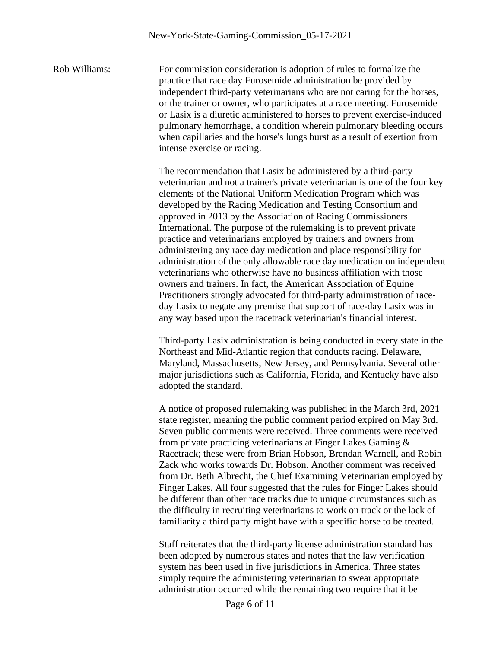Rob Williams: For commission consideration is adoption of rules to formalize the practice that race day Furosemide administration be provided by independent third-party veterinarians who are not caring for the horses, or the trainer or owner, who participates at a race meeting. Furosemide or Lasix is a diuretic administered to horses to prevent exercise-induced pulmonary hemorrhage, a condition wherein pulmonary bleeding occurs when capillaries and the horse's lungs burst as a result of exertion from intense exercise or racing.

> The recommendation that Lasix be administered by a third-party veterinarian and not a trainer's private veterinarian is one of the four key elements of the National Uniform Medication Program which was developed by the Racing Medication and Testing Consortium and approved in 2013 by the Association of Racing Commissioners International. The purpose of the rulemaking is to prevent private practice and veterinarians employed by trainers and owners from administering any race day medication and place responsibility for administration of the only allowable race day medication on independent veterinarians who otherwise have no business affiliation with those owners and trainers. In fact, the American Association of Equine Practitioners strongly advocated for third-party administration of raceday Lasix to negate any premise that support of race-day Lasix was in any way based upon the racetrack veterinarian's financial interest.

Third-party Lasix administration is being conducted in every state in the Northeast and Mid-Atlantic region that conducts racing. Delaware, Maryland, Massachusetts, New Jersey, and Pennsylvania. Several other major jurisdictions such as California, Florida, and Kentucky have also adopted the standard.

A notice of proposed rulemaking was published in the March 3rd, 2021 state register, meaning the public comment period expired on May 3rd. Seven public comments were received. Three comments were received from private practicing veterinarians at Finger Lakes Gaming & Racetrack; these were from Brian Hobson, Brendan Warnell, and Robin Zack who works towards Dr. Hobson. Another comment was received from Dr. Beth Albrecht, the Chief Examining Veterinarian employed by Finger Lakes. All four suggested that the rules for Finger Lakes should be different than other race tracks due to unique circumstances such as the difficulty in recruiting veterinarians to work on track or the lack of familiarity a third party might have with a specific horse to be treated.

Staff reiterates that the third-party license administration standard has been adopted by numerous states and notes that the law verification system has been used in five jurisdictions in America. Three states simply require the administering veterinarian to swear appropriate administration occurred while the remaining two require that it be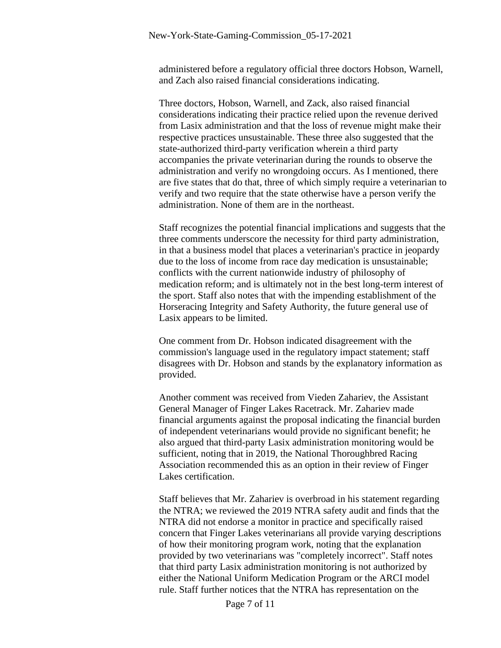administered before a regulatory official three doctors Hobson, Warnell, and Zach also raised financial considerations indicating.

Three doctors, Hobson, Warnell, and Zack, also raised financial considerations indicating their practice relied upon the revenue derived from Lasix administration and that the loss of revenue might make their respective practices unsustainable. These three also suggested that the state-authorized third-party verification wherein a third party accompanies the private veterinarian during the rounds to observe the administration and verify no wrongdoing occurs. As I mentioned, there are five states that do that, three of which simply require a veterinarian to verify and two require that the state otherwise have a person verify the administration. None of them are in the northeast.

Staff recognizes the potential financial implications and suggests that the three comments underscore the necessity for third party administration, in that a business model that places a veterinarian's practice in jeopardy due to the loss of income from race day medication is unsustainable; conflicts with the current nationwide industry of philosophy of medication reform; and is ultimately not in the best long-term interest of the sport. Staff also notes that with the impending establishment of the Horseracing Integrity and Safety Authority, the future general use of Lasix appears to be limited.

One comment from Dr. Hobson indicated disagreement with the commission's language used in the regulatory impact statement; staff disagrees with Dr. Hobson and stands by the explanatory information as provided.

Another comment was received from Vieden Zahariev, the Assistant General Manager of Finger Lakes Racetrack. Mr. Zahariev made financial arguments against the proposal indicating the financial burden of independent veterinarians would provide no significant benefit; he also argued that third-party Lasix administration monitoring would be sufficient, noting that in 2019, the National Thoroughbred Racing Association recommended this as an option in their review of Finger Lakes certification.

Staff believes that Mr. Zahariev is overbroad in his statement regarding the NTRA; we reviewed the 2019 NTRA safety audit and finds that the NTRA did not endorse a monitor in practice and specifically raised concern that Finger Lakes veterinarians all provide varying descriptions of how their monitoring program work, noting that the explanation provided by two veterinarians was "completely incorrect". Staff notes that third party Lasix administration monitoring is not authorized by either the National Uniform Medication Program or the ARCI model rule. Staff further notices that the NTRA has representation on the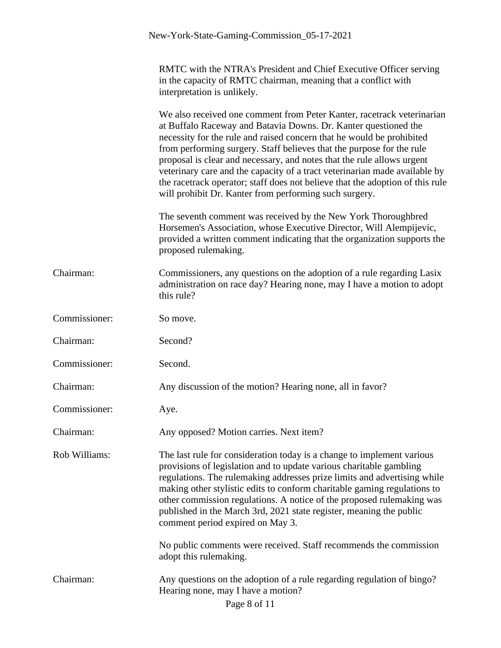|               | RMTC with the NTRA's President and Chief Executive Officer serving<br>in the capacity of RMTC chairman, meaning that a conflict with<br>interpretation is unlikely.                                                                                                                                                                                                                                                                                                                                                                                                                            |
|---------------|------------------------------------------------------------------------------------------------------------------------------------------------------------------------------------------------------------------------------------------------------------------------------------------------------------------------------------------------------------------------------------------------------------------------------------------------------------------------------------------------------------------------------------------------------------------------------------------------|
|               | We also received one comment from Peter Kanter, racetrack veterinarian<br>at Buffalo Raceway and Batavia Downs. Dr. Kanter questioned the<br>necessity for the rule and raised concern that he would be prohibited<br>from performing surgery. Staff believes that the purpose for the rule<br>proposal is clear and necessary, and notes that the rule allows urgent<br>veterinary care and the capacity of a tract veterinarian made available by<br>the racetrack operator; staff does not believe that the adoption of this rule<br>will prohibit Dr. Kanter from performing such surgery. |
|               | The seventh comment was received by the New York Thoroughbred<br>Horsemen's Association, whose Executive Director, Will Alempijevic,<br>provided a written comment indicating that the organization supports the<br>proposed rulemaking.                                                                                                                                                                                                                                                                                                                                                       |
| Chairman:     | Commissioners, any questions on the adoption of a rule regarding Lasix<br>administration on race day? Hearing none, may I have a motion to adopt<br>this rule?                                                                                                                                                                                                                                                                                                                                                                                                                                 |
| Commissioner: | So move.                                                                                                                                                                                                                                                                                                                                                                                                                                                                                                                                                                                       |
| Chairman:     | Second?                                                                                                                                                                                                                                                                                                                                                                                                                                                                                                                                                                                        |
| Commissioner: | Second.                                                                                                                                                                                                                                                                                                                                                                                                                                                                                                                                                                                        |
| Chairman:     | Any discussion of the motion? Hearing none, all in favor?                                                                                                                                                                                                                                                                                                                                                                                                                                                                                                                                      |
| Commissioner: | Aye.                                                                                                                                                                                                                                                                                                                                                                                                                                                                                                                                                                                           |
| Chairman:     | Any opposed? Motion carries. Next item?                                                                                                                                                                                                                                                                                                                                                                                                                                                                                                                                                        |
| Rob Williams: | The last rule for consideration today is a change to implement various<br>provisions of legislation and to update various charitable gambling<br>regulations. The rulemaking addresses prize limits and advertising while<br>making other stylistic edits to conform charitable gaming regulations to<br>other commission regulations. A notice of the proposed rulemaking was<br>published in the March 3rd, 2021 state register, meaning the public<br>comment period expired on May 3.                                                                                                      |
|               | No public comments were received. Staff recommends the commission<br>adopt this rulemaking.                                                                                                                                                                                                                                                                                                                                                                                                                                                                                                    |
| Chairman:     | Any questions on the adoption of a rule regarding regulation of bingo?<br>Hearing none, may I have a motion?<br>Page 8 of 11                                                                                                                                                                                                                                                                                                                                                                                                                                                                   |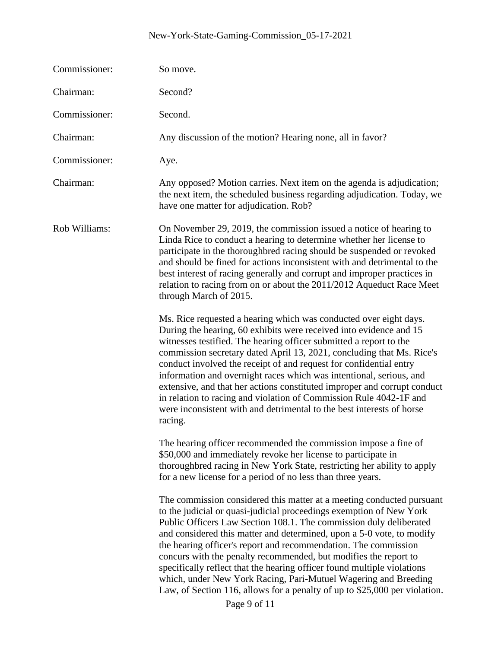| Commissioner: | So move.                                                                                                                                                                                                                                                                                                                                                                                                                                                                                                                                                                                                                                                                       |
|---------------|--------------------------------------------------------------------------------------------------------------------------------------------------------------------------------------------------------------------------------------------------------------------------------------------------------------------------------------------------------------------------------------------------------------------------------------------------------------------------------------------------------------------------------------------------------------------------------------------------------------------------------------------------------------------------------|
| Chairman:     | Second?                                                                                                                                                                                                                                                                                                                                                                                                                                                                                                                                                                                                                                                                        |
| Commissioner: | Second.                                                                                                                                                                                                                                                                                                                                                                                                                                                                                                                                                                                                                                                                        |
| Chairman:     | Any discussion of the motion? Hearing none, all in favor?                                                                                                                                                                                                                                                                                                                                                                                                                                                                                                                                                                                                                      |
| Commissioner: | Aye.                                                                                                                                                                                                                                                                                                                                                                                                                                                                                                                                                                                                                                                                           |
| Chairman:     | Any opposed? Motion carries. Next item on the agenda is adjudication;<br>the next item, the scheduled business regarding adjudication. Today, we<br>have one matter for adjudication. Rob?                                                                                                                                                                                                                                                                                                                                                                                                                                                                                     |
| Rob Williams: | On November 29, 2019, the commission issued a notice of hearing to<br>Linda Rice to conduct a hearing to determine whether her license to<br>participate in the thoroughbred racing should be suspended or revoked<br>and should be fined for actions inconsistent with and detrimental to the<br>best interest of racing generally and corrupt and improper practices in<br>relation to racing from on or about the 2011/2012 Aqueduct Race Meet<br>through March of 2015.                                                                                                                                                                                                    |
|               | Ms. Rice requested a hearing which was conducted over eight days.<br>During the hearing, 60 exhibits were received into evidence and 15<br>witnesses testified. The hearing officer submitted a report to the<br>commission secretary dated April 13, 2021, concluding that Ms. Rice's<br>conduct involved the receipt of and request for confidential entry<br>information and overnight races which was intentional, serious, and<br>extensive, and that her actions constituted improper and corrupt conduct<br>in relation to racing and violation of Commission Rule 4042-1F and<br>were inconsistent with and detrimental to the best interests of horse<br>racing.      |
|               | The hearing officer recommended the commission impose a fine of<br>\$50,000 and immediately revoke her license to participate in<br>thoroughbred racing in New York State, restricting her ability to apply<br>for a new license for a period of no less than three years.                                                                                                                                                                                                                                                                                                                                                                                                     |
|               | The commission considered this matter at a meeting conducted pursuant<br>to the judicial or quasi-judicial proceedings exemption of New York<br>Public Officers Law Section 108.1. The commission duly deliberated<br>and considered this matter and determined, upon a 5-0 vote, to modify<br>the hearing officer's report and recommendation. The commission<br>concurs with the penalty recommended, but modifies the report to<br>specifically reflect that the hearing officer found multiple violations<br>which, under New York Racing, Pari-Mutuel Wagering and Breeding<br>Law, of Section 116, allows for a penalty of up to \$25,000 per violation.<br>Page 9 of 11 |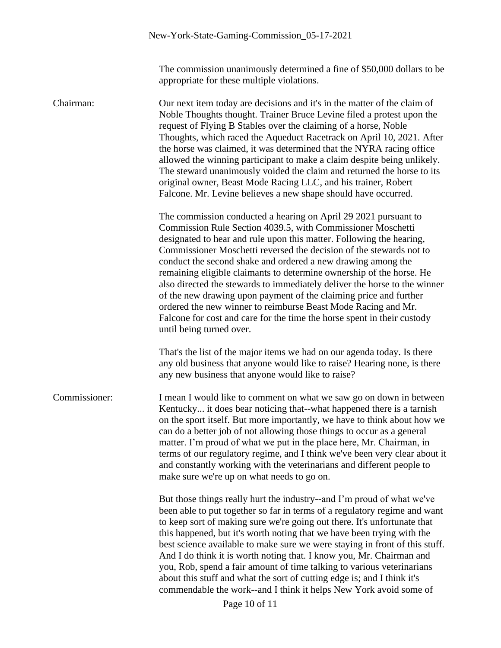The commission unanimously determined a fine of \$50,000 dollars to be appropriate for these multiple violations.

Chairman: Our next item today are decisions and it's in the matter of the claim of Noble Thoughts thought. Trainer Bruce Levine filed a protest upon the request of Flying B Stables over the claiming of a horse, Noble Thoughts, which raced the Aqueduct Racetrack on April 10, 2021. After the horse was claimed, it was determined that the NYRA racing office allowed the winning participant to make a claim despite being unlikely. The steward unanimously voided the claim and returned the horse to its original owner, Beast Mode Racing LLC, and his trainer, Robert Falcone. Mr. Levine believes a new shape should have occurred. The commission conducted a hearing on April 29 2021 pursuant to Commission Rule Section 4039.5, with Commissioner Moschetti designated to hear and rule upon this matter. Following the hearing, Commissioner Moschetti reversed the decision of the stewards not to conduct the second shake and ordered a new drawing among the remaining eligible claimants to determine ownership of the horse. He also directed the stewards to immediately deliver the horse to the winner of the new drawing upon payment of the claiming price and further ordered the new winner to reimburse Beast Mode Racing and Mr. Falcone for cost and care for the time the horse spent in their custody until being turned over. That's the list of the major items we had on our agenda today. Is there any old business that anyone would like to raise? Hearing none, is there any new business that anyone would like to raise? Commissioner: I mean I would like to comment on what we saw go on down in between Kentucky... it does bear noticing that--what happened there is a tarnish on the sport itself. But more importantly, we have to think about how we can do a better job of not allowing those things to occur as a general matter. I'm proud of what we put in the place here, Mr. Chairman, in terms of our regulatory regime, and I think we've been very clear about it and constantly working with the veterinarians and different people to make sure we're up on what needs to go on. But those things really hurt the industry--and I'm proud of what we've been able to put together so far in terms of a regulatory regime and want to keep sort of making sure we're going out there. It's unfortunate that this happened, but it's worth noting that we have been trying with the best science available to make sure we were staying in front of this stuff. And I do think it is worth noting that. I know you, Mr. Chairman and you, Rob, spend a fair amount of time talking to various veterinarians about this stuff and what the sort of cutting edge is; and I think it's commendable the work--and I think it helps New York avoid some of